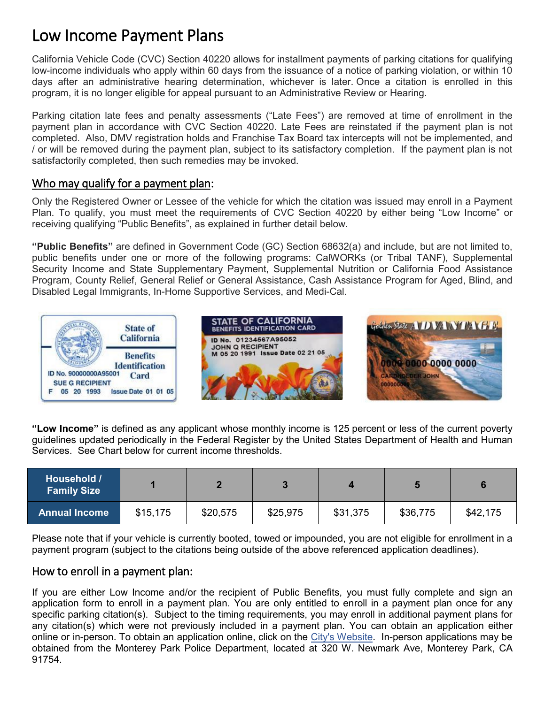# Low Income Payment Plans

California Vehicle Code (CVC) Section 40220 allows for installment payments of parking citations for qualifying low-income individuals who apply within 60 days from the issuance of a notice of parking violation, or within 10 days after an administrative hearing determination, whichever is later. Once a citation is enrolled in this program, it is no longer eligible for appeal pursuant to an Administrative Review or Hearing.

Parking citation late fees and penalty assessments ("Late Fees") are removed at time of enrollment in the payment plan in accordance with CVC Section 40220. Late Fees are reinstated if the payment plan is not completed. Also, DMV registration holds and Franchise Tax Board tax intercepts will not be implemented, and / or will be removed during the payment plan, subject to its satisfactory completion. If the payment plan is not satisfactorily completed, then such remedies may be invoked.

## Who may qualify for a payment plan:

Only the Registered Owner or Lessee of the vehicle for which the citation was issued may enroll in a Payment Plan. To qualify, you must meet the requirements of CVC Section 40220 by either being "Low Income" or receiving qualifying "Public Benefits", as explained in further detail below.

**"Public Benefits"** are defined in Government Code (GC) Section 68632(a) and include, but are not limited to, public benefits under one or more of the following programs: CalWORKs (or Tribal TANF), Supplemental Security Income and State Supplementary Payment, Supplemental Nutrition or California Food Assistance Program, County Relief, General Relief or General Assistance, Cash Assistance Program for Aged, Blind, and Disabled Legal Immigrants, In-Home Supportive Services, and Medi-Cal.



**"Low Income"** is defined as any applicant whose monthly income is 125 percent or less of the current poverty guidelines updated periodically in the Federal Register by the United States Department of Health and Human Services.See Chart below for current income thresholds.

| Household /<br><b>Family Size</b> |          |          |          |          |          |          |
|-----------------------------------|----------|----------|----------|----------|----------|----------|
| <b>Annual Income</b>              | \$15,175 | \$20,575 | \$25,975 | \$31,375 | \$36,775 | \$42,175 |

Please note that if your vehicle is currently booted, towed or impounded, you are not eligible for enrollment in a payment program (subject to the citations being outside of the above referenced application deadlines).

## How to enroll in a payment plan:

If you are either Low Income and/or the recipient of Public Benefits, you must fully complete and sign an application form to enroll in a payment plan. You are only entitled to enroll in a payment plan once for any specific parking citation(s). Subject to the timing requirements, you may enroll in additional payment plans for any citation(s) which were not previously included in a payment plan. You can obtain an application either online or in-person. To obtain an application online, click on the [City's Website.](http://www.montereypark.ca.gov/433/Traffic-Bureau) In-person applications may be obtained from the Monterey Park Police Department, located at 320 W. Newmark Ave, Monterey Park, CA 91754.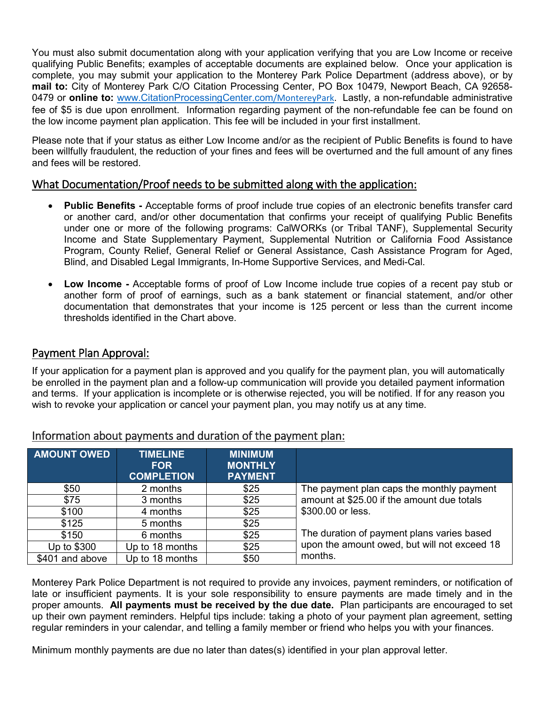You must also submit documentation along with your application verifying that you are Low Income or receive qualifying Public Benefits; examples of acceptable documents are explained below. Once your application is complete, you may submit your application to the Monterey Park Police Department (address above), or by **mail to:** City of Monterey Park C/O Citation Processing Center, PO Box 10479, Newport Beach, CA 92658- 0479 or **online to:** [www.CitationProcessingCenter.com](http://www.citationprocessingcenter.com/MontereyPark)/MontereyPark. Lastly, a non-refundable administrative fee of \$5 is due upon enrollment. Information regarding payment of the non-refundable fee can be found on the low income payment plan application. This fee will be included in your first installment.

Please note that if your status as either Low Income and/or as the recipient of Public Benefits is found to have been willfully fraudulent, the reduction of your fines and fees will be overturned and the full amount of any fines and fees will be restored.

## What Documentation/Proof needs to be submitted along with the application:

- **Public Benefits -** Acceptable forms of proof include true copies of an electronic benefits transfer card or another card, and/or other documentation that confirms your receipt of qualifying Public Benefits under one or more of the following programs: CalWORKs (or Tribal TANF), Supplemental Security Income and State Supplementary Payment, Supplemental Nutrition or California Food Assistance Program, County Relief, General Relief or General Assistance, Cash Assistance Program for Aged, Blind, and Disabled Legal Immigrants, In-Home Supportive Services, and Medi-Cal.
- **Low Income -** Acceptable forms of proof of Low Income include true copies of a recent pay stub or another form of proof of earnings, such as a bank statement or financial statement, and/or other documentation that demonstrates that your income is 125 percent or less than the current income thresholds identified in the Chart above.

### Payment Plan Approval:

If your application for a payment plan is approved and you qualify for the payment plan, you will automatically be enrolled in the payment plan and a follow-up communication will provide you detailed payment information and terms. If your application is incomplete or is otherwise rejected, you will be notified. If for any reason you wish to revoke your application or cancel your payment plan, you may notify us at any time.

| <b>AMOUNT OWED</b> | <b>TIMELINE</b><br><b>FOR</b><br><b>COMPLETION</b> | <b>MINIMUM</b><br><b>MONTHLY</b><br><b>PAYMENT</b> |                                              |  |  |
|--------------------|----------------------------------------------------|----------------------------------------------------|----------------------------------------------|--|--|
| \$50               | 2 months                                           | \$25                                               | The payment plan caps the monthly payment    |  |  |
| \$75               | 3 months                                           | \$25                                               | amount at \$25.00 if the amount due totals   |  |  |
| \$100              | 4 months                                           | \$25                                               | \$300.00 or less.                            |  |  |
| \$125              | 5 months                                           | \$25                                               |                                              |  |  |
| \$150              | 6 months                                           | \$25                                               | The duration of payment plans varies based   |  |  |
| Up to \$300        | Up to 18 months                                    |                                                    | upon the amount owed, but will not exceed 18 |  |  |
| \$401 and above    | Up to 18 months                                    | \$50                                               | months.                                      |  |  |

#### Information about payments and duration of the payment plan:

Monterey Park Police Department is not required to provide any invoices, payment reminders, or notification of late or insufficient payments. It is your sole responsibility to ensure payments are made timely and in the proper amounts. **All payments must be received by the due date.** Plan participants are encouraged to set up their own payment reminders. Helpful tips include: taking a photo of your payment plan agreement, setting regular reminders in your calendar, and telling a family member or friend who helps you with your finances.

Minimum monthly payments are due no later than dates(s) identified in your plan approval letter.